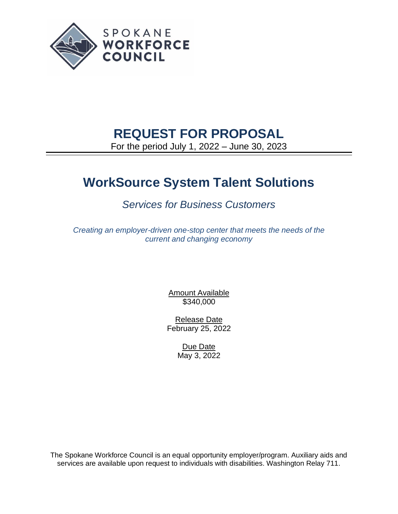

# **REQUEST FOR PROPOSAL**

For the period July 1, 2022 – June 30, 2023

# **WorkSource System Talent Solutions**

## *Services for Business Customers*

*Creating an employer-driven one-stop center that meets the needs of the current and changing economy*

> Amount Available \$340,000

Release Date February 25, 2022

> Due Date May 3, 2022

The Spokane Workforce Council is an equal opportunity employer/program. Auxiliary aids and services are available upon request to individuals with disabilities. Washington Relay 711.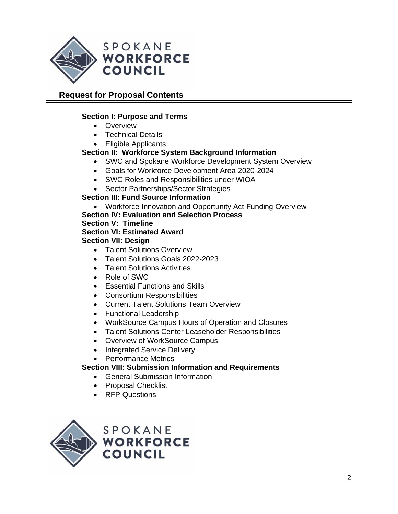

## **Request for Proposal Contents**

## **Section I: Purpose and Terms**

- Overview
- Technical Details
- Eligible Applicants

## **Section II: Workforce System Background Information**

- SWC and Spokane Workforce Development System Overview
- Goals for Workforce Development Area 2020-2024
- SWC Roles and Responsibilities under WIOA
- Sector Partnerships/Sector Strategies

#### **Section III: Fund Source Information**

- Workforce Innovation and Opportunity Act Funding Overview
- **Section IV: Evaluation and Selection Process**

#### **Section V: Timeline**

**Section VI: Estimated Award**

#### **Section VII: Design**

- Talent Solutions Overview
- Talent Solutions Goals 2022-2023
- Talent Solutions Activities
- Role of SWC
- Essential Functions and Skills
- Consortium Responsibilities
- Current Talent Solutions Team Overview
- Functional Leadership
- WorkSource Campus Hours of Operation and Closures
- Talent Solutions Center Leaseholder Responsibilities
- Overview of WorkSource Campus
- Integrated Service Delivery
- Performance Metrics

#### **Section VIII: Submission Information and Requirements**

- General Submission Information
- Proposal Checklist
- RFP Questions

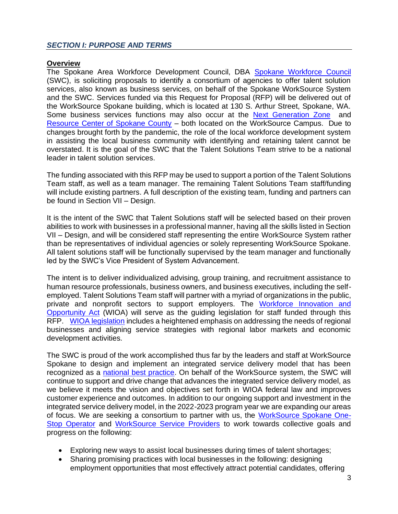## **Overview**

The Spokane Area Workforce Development Council, DBA [Spokane Workforce Council](https://spokaneworkforce.org/) (SWC), is soliciting proposals to identify a consortium of agencies to offer talent solution services, also known as business services, on behalf of the Spokane WorkSource System and the SWC. Services funded via this Request for Proposal (RFP) will be delivered out of the WorkSource Spokane building, which is located at 130 S. Arthur Street, Spokane, WA. Some business services functions may also occur at the [Next Generation Zone](https://nextgenzone.org/) and [Resource Center of Spokane County](https://spokaneresourcecenter.org/) - both located on the WorkSource Campus. Due to changes brought forth by the pandemic, the role of the local workforce development system in assisting the local business community with identifying and retaining talent cannot be overstated. It is the goal of the SWC that the Talent Solutions Team strive to be a national leader in talent solution services.

The funding associated with this RFP may be used to support a portion of the Talent Solutions Team staff, as well as a team manager. The remaining Talent Solutions Team staff/funding will include existing partners. A full description of the existing team, funding and partners can be found in Section VII – Design.

It is the intent of the SWC that Talent Solutions staff will be selected based on their proven abilities to work with businesses in a professional manner, having all the skills listed in Section VII – Design, and will be considered staff representing the entire WorkSource System rather than be representatives of individual agencies or solely representing WorkSource Spokane. All talent solutions staff will be functionally supervised by the team manager and functionally led by the SWC's Vice President of System Advancement.

The intent is to deliver individualized advising, group training, and recruitment assistance to human resource professionals, business owners, and business executives, including the selfemployed. Talent Solutions Team staff will partner with a myriad of organizations in the public, private and nonprofit sectors to support employers. The [Workforce Innovation and](https://www.doleta.gov/wioa/)  [Opportunity Act](https://www.doleta.gov/wioa/) (WIOA) will serve as the guiding legislation for staff funded through this RFP. [WIOA legislation](https://www.doleta.gov/wioa/) includes a heightened emphasis on addressing the needs of regional businesses and aligning service strategies with regional labor markets and economic development activities.

The SWC is proud of the work accomplished thus far by the leaders and staff at WorkSource Spokane to design and implement an integrated service delivery model that has been recognized as a [national best practice.](https://spokaneworkforce.org/featured/spokane-workforce-council-recipient-of-2020-wioa-trailblazer-award-from-the-national-association-of-workforce-boards/) On behalf of the WorkSource system, the SWC will continue to support and drive change that advances the integrated service delivery model, as we believe it meets the vision and objectives set forth in WIOA federal law and improves customer experience and outcomes. In addition to our ongoing support and investment in the integrated service delivery model, in the 2022-2023 program year we are expanding our areas of focus. We are seeking a consortium to partner with us, the [WorkSource Spokane One-](https://spokaneworkforce.org/workforce-resources/rfp/)[Stop Operator](https://spokaneworkforce.org/workforce-resources/rfp/) and [WorkSource Service Providers](https://spokaneworkforce.org/workforce-resources/rfp/) to work towards collective goals and progress on the following:

- Exploring new ways to assist local businesses during times of talent shortages;
- Sharing promising practices with local businesses in the following: designing employment opportunities that most effectively attract potential candidates, offering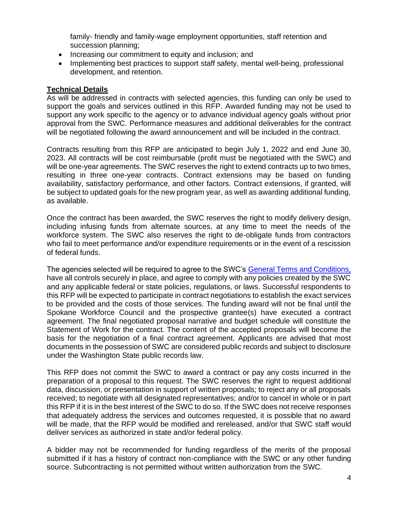family- friendly and family-wage employment opportunities, staff retention and succession planning;

- Increasing our commitment to equity and inclusion; and
- Implementing best practices to support staff safety, mental well-being, professional development, and retention.

#### **Technical Details**

As will be addressed in contracts with selected agencies, this funding can only be used to support the goals and services outlined in this RFP. Awarded funding may not be used to support any work specific to the agency or to advance individual agency goals without prior approval from the SWC. Performance measures and additional deliverables for the contract will be negotiated following the award announcement and will be included in the contract.

Contracts resulting from this RFP are anticipated to begin July 1, 2022 and end June 30, 2023. All contracts will be cost reimbursable (profit must be negotiated with the SWC) and will be one-year agreements. The SWC reserves the right to extend contracts up to two times, resulting in three one-year contracts. Contract extensions may be based on funding availability, satisfactory performance, and other factors. Contract extensions, if granted, will be subject to updated goals for the new program year, as well as awarding additional funding, as available.

Once the contract has been awarded, the SWC reserves the right to modify delivery design, including infusing funds from alternate sources, at any time to meet the needs of the workforce system. The SWC also reserves the right to de-obligate funds from contractors who fail to meet performance and/or expenditure requirements or in the event of a rescission of federal funds.

The agencies selected will be required to agree to the SWC's [General Terms and Conditions,](https://spokaneworkforce.org/wp-content/uploads/2022/01/Current-WIOA-Grant-General-Terms-and-Conditions.pdf) have all controls securely in place, and agree to comply with any policies created by the SWC and any applicable federal or state policies, regulations, or laws. Successful respondents to this RFP will be expected to participate in contract negotiations to establish the exact services to be provided and the costs of those services. The funding award will not be final until the Spokane Workforce Council and the prospective grantee(s) have executed a contract agreement. The final negotiated proposal narrative and budget schedule will constitute the Statement of Work for the contract. The content of the accepted proposals will become the basis for the negotiation of a final contract agreement. Applicants are advised that most documents in the possession of SWC are considered public records and subject to disclosure under the Washington State public records law.

This RFP does not commit the SWC to award a contract or pay any costs incurred in the preparation of a proposal to this request. The SWC reserves the right to request additional data, discussion, or presentation in support of written proposals; to reject any or all proposals received; to negotiate with all designated representatives; and/or to cancel in whole or in part this RFP if it is in the best interest of the SWC to do so. If the SWC does not receive responses that adequately address the services and outcomes requested, it is possible that no award will be made, that the RFP would be modified and rereleased, and/or that SWC staff would deliver services as authorized in state and/or federal policy.

A bidder may not be recommended for funding regardless of the merits of the proposal submitted if it has a history of contract non-compliance with the SWC or any other funding source. Subcontracting is not permitted without written authorization from the SWC.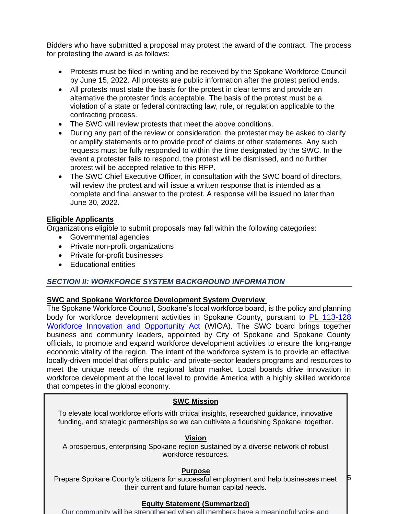Bidders who have submitted a proposal may protest the award of the contract. The process for protesting the award is as follows:

- Protests must be filed in writing and be received by the Spokane Workforce Council by June 15, 2022. All protests are public information after the protest period ends.
- All protests must state the basis for the protest in clear terms and provide an alternative the protester finds acceptable. The basis of the protest must be a violation of a state or federal contracting law, rule, or regulation applicable to the contracting process.
- The SWC will review protests that meet the above conditions.
- During any part of the review or consideration, the protester may be asked to clarify or amplify statements or to provide proof of claims or other statements. Any such requests must be fully responded to within the time designated by the SWC. In the event a protester fails to respond, the protest will be dismissed, and no further protest will be accepted relative to this RFP.
- The SWC Chief Executive Officer, in consultation with the SWC board of directors, will review the protest and will issue a written response that is intended as a complete and final answer to the protest. A response will be issued no later than June 30, 2022.

#### **Eligible Applicants**

Organizations eligible to submit proposals may fall within the following categories:

- Governmental agencies
- Private non-profit organizations
- Private for-profit businesses
- Educational entities

#### *SECTION II: WORKFORCE SYSTEM BACKGROUND INFORMATION*

#### **SWC and Spokane Workforce Development System Overview**

The Spokane Workforce Council, Spokane's local workforce board, is the policy and planning body for workforce development activities in Spokane County, pursuant to [PL 113-128](https://www.govinfo.gov/content/pkg/PLAW-113publ128/pdf/PLAW-113publ128.pdf)  [Workforce Innovation and Opportunity Act](https://www.govinfo.gov/content/pkg/PLAW-113publ128/pdf/PLAW-113publ128.pdf) (WIOA). The SWC board brings together business and community leaders, appointed by City of Spokane and Spokane County officials, to promote and expand workforce development activities to ensure the long-range economic vitality of the region. The intent of the workforce system is to provide an effective, locally-driven model that offers public- and private-sector leaders programs and resources to meet the unique needs of the regional labor market. Local boards drive innovation in workforce development at the local level to provide America with a highly skilled workforce that competes in the global economy.

#### **SWC Mission**

To elevate local workforce efforts with critical insights, researched guidance, innovative funding, and strategic partnerships so we can cultivate a flourishing Spokane, together.

#### **Vision**

A prosperous, enterprising Spokane region sustained by a diverse network of robust workforce resources.

#### **Purpose**

Prepare Spokane County's citizens for successful employment and help businesses meet their current and future human capital needs.

5

#### **Equity Statement (Summarized)**

Our community will be strengthened when all members have a meaningful voice and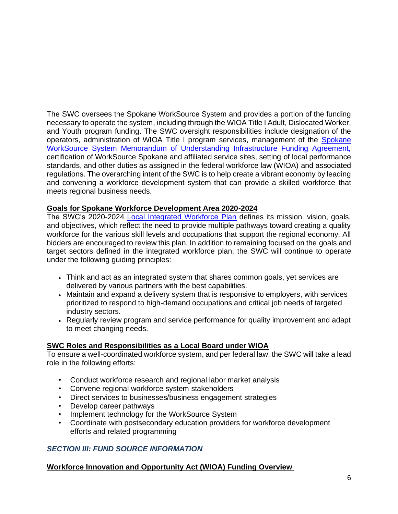The SWC oversees the Spokane WorkSource System and provides a portion of the funding necessary to operate the system, including through the WIOA Title I Adult, Dislocated Worker, and Youth program funding. The SWC oversight responsibilities include designation of the operators, administration of WIOA Title I program services, management of the [Spokane](https://spokaneworkforce.org/workforce-resources/plans-mous/)  [WorkSource System Memorandum of Understanding Infrastructure Funding Agreement,](https://spokaneworkforce.org/workforce-resources/plans-mous/) certification of WorkSource Spokane and affiliated service sites, setting of local performance standards, and other duties as assigned in the federal workforce law (WIOA) and associated regulations. The overarching intent of the SWC is to help create a vibrant economy by leading and convening a workforce development system that can provide a skilled workforce that meets regional business needs.

#### **Goals for Spokane Workforce Development Area 2020-2024**

The SWC's 2020-2024 [Local Integrated Workforce Plan](https://spokaneworkforce.org/workforce-resources/plans-mous/) defines its mission, vision, goals, and objectives, which reflect the need to provide multiple pathways toward creating a quality workforce for the various skill levels and occupations that support the regional economy. All bidders are encouraged to review this plan. In addition to remaining focused on the goals and target sectors defined in the integrated workforce plan, the SWC will continue to operate under the following guiding principles:

- Think and act as an integrated system that shares common goals, yet services are delivered by various partners with the best capabilities.
- Maintain and expand a delivery system that is responsive to employers, with services prioritized to respond to high-demand occupations and critical job needs of targeted industry sectors.
- Regularly review program and service performance for quality improvement and adapt to meet changing needs.

#### **SWC Roles and Responsibilities as a Local Board under WIOA**

To ensure a well-coordinated workforce system, and per federal law, the SWC will take a lead role in the following efforts:

- Conduct workforce research and regional labor market analysis
- Convene regional workforce system stakeholders
- Direct services to businesses/business engagement strategies
- Develop career pathways
- Implement technology for the WorkSource System
- Coordinate with postsecondary education providers for workforce development efforts and related programming

#### *SECTION III: FUND SOURCE INFORMATION*

#### **Workforce Innovation and Opportunity Act (WIOA) Funding Overview**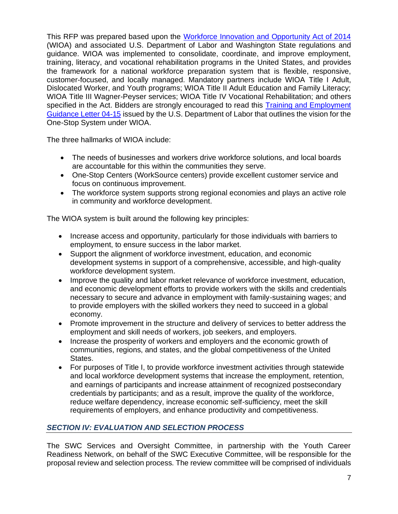This RFP was prepared based upon the [Workforce Innovation and Opportunity Act of 2014](https://www.doleta.gov/wioa/) (WIOA) and associated U.S. Department of Labor and Washington State regulations and guidance. WIOA was implemented to consolidate, coordinate, and improve employment, training, literacy, and vocational rehabilitation programs in the United States, and provides the framework for a national workforce preparation system that is flexible, responsive, customer-focused, and locally managed. Mandatory partners include WIOA Title I Adult, Dislocated Worker, and Youth programs; WIOA Title II Adult Education and Family Literacy; WIOA Title III Wagner-Peyser services; WIOA Title IV Vocational Rehabilitation; and others specified in the Act. Bidders are strongly encouraged to read this [Training and Employment](https://wdr.doleta.gov/directives/corr_doc.cfm?DOCN=6455)  [Guidance Letter](https://wdr.doleta.gov/directives/corr_doc.cfm?DOCN=6455) 04-15 issued by the U.S. Department of Labor that outlines the vision for the One-Stop System under WIOA.

The three hallmarks of WIOA include:

- The needs of businesses and workers drive workforce solutions, and local boards are accountable for this within the communities they serve.
- One-Stop Centers (WorkSource centers) provide excellent customer service and focus on continuous improvement.
- The workforce system supports strong regional economies and plays an active role in community and workforce development.

The WIOA system is built around the following key principles:

- Increase access and opportunity, particularly for those individuals with barriers to employment, to ensure success in the labor market.
- Support the alignment of workforce investment, education, and economic development systems in support of a comprehensive, accessible, and high-quality workforce development system.
- Improve the quality and labor market relevance of workforce investment, education, and economic development efforts to provide workers with the skills and credentials necessary to secure and advance in employment with family-sustaining wages; and to provide employers with the skilled workers they need to succeed in a global economy.
- Promote improvement in the structure and delivery of services to better address the employment and skill needs of workers, job seekers, and employers.
- Increase the prosperity of workers and employers and the economic growth of communities, regions, and states, and the global competitiveness of the United States.
- For purposes of Title I, to provide workforce investment activities through statewide and local workforce development systems that increase the employment, retention, and earnings of participants and increase attainment of recognized postsecondary credentials by participants; and as a result, improve the quality of the workforce, reduce welfare dependency, increase economic self-sufficiency, meet the skill requirements of employers, and enhance productivity and competitiveness.

## *SECTION IV: EVALUATION AND SELECTION PROCESS*

The SWC Services and Oversight Committee, in partnership with the Youth Career Readiness Network, on behalf of the SWC Executive Committee, will be responsible for the proposal review and selection process. The review committee will be comprised of individuals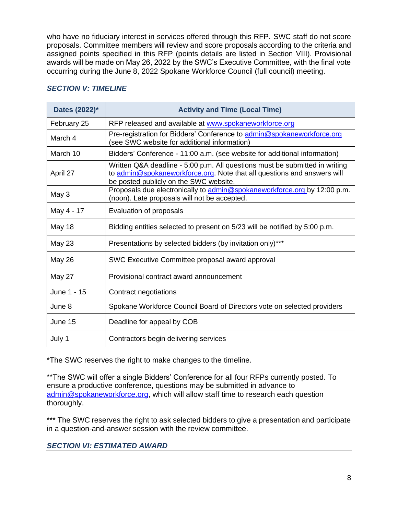who have no fiduciary interest in services offered through this RFP. SWC staff do not score proposals. Committee members will review and score proposals according to the criteria and assigned points specified in this RFP (points details are listed in Section VIII). Provisional awards will be made on May 26, 2022 by the SWC's Executive Committee, with the final vote occurring during the June 8, 2022 Spokane Workforce Council (full council) meeting.

| Dates (2022)* | <b>Activity and Time (Local Time)</b>                                                                                                                                                            |
|---------------|--------------------------------------------------------------------------------------------------------------------------------------------------------------------------------------------------|
| February 25   | RFP released and available at www.spokaneworkforce.org                                                                                                                                           |
| March 4       | Pre-registration for Bidders' Conference to admin@spokaneworkforce.org<br>(see SWC website for additional information)                                                                           |
| March 10      | Bidders' Conference - 11:00 a.m. (see website for additional information)                                                                                                                        |
| April 27      | Written Q&A deadline - 5:00 p.m. All questions must be submitted in writing<br>to admin@spokaneworkforce.org. Note that all questions and answers will<br>be posted publicly on the SWC website. |
| May 3         | Proposals due electronically to admin@spokaneworkforce.org by 12:00 p.m.<br>(noon). Late proposals will not be accepted.                                                                         |
| May 4 - 17    | Evaluation of proposals                                                                                                                                                                          |
| May 18        | Bidding entities selected to present on 5/23 will be notified by 5:00 p.m.                                                                                                                       |
| May 23        | Presentations by selected bidders (by invitation only)***                                                                                                                                        |
| <b>May 26</b> | SWC Executive Committee proposal award approval                                                                                                                                                  |
| May 27        | Provisional contract award announcement                                                                                                                                                          |
| June 1 - 15   | Contract negotiations                                                                                                                                                                            |
| June 8        | Spokane Workforce Council Board of Directors vote on selected providers                                                                                                                          |
| June 15       | Deadline for appeal by COB                                                                                                                                                                       |
| July 1        | Contractors begin delivering services                                                                                                                                                            |

#### *SECTION V: TIMELINE*

\*The SWC reserves the right to make changes to the timeline.

\*\*The SWC will offer a single Bidders' Conference for all four RFPs currently posted. To ensure a productive conference, questions may be submitted in advance to [admin@spokaneworkforce.org,](mailto:admin@spokaneworkforce.org) which will allow staff time to research each question thoroughly.

\*\*\* The SWC reserves the right to ask selected bidders to give a presentation and participate in a question-and-answer session with the review committee.

#### *SECTION VI: ESTIMATED AWARD*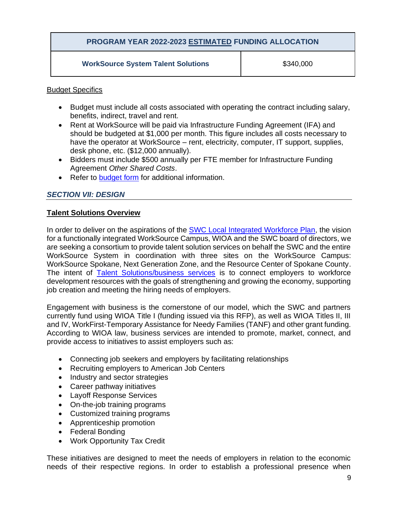## **PROGRAM YEAR 2022-2023 ESTIMATED FUNDING ALLOCATION**

#### **WorkSource System Talent Solutions**  $$340,000$

#### Budget Specifics

- Budget must include all costs associated with operating the contract including salary, benefits, indirect, travel and rent.
- Rent at WorkSource will be paid via Infrastructure Funding Agreement (IFA) and should be budgeted at \$1,000 per month. This figure includes all costs necessary to have the operator at WorkSource – rent, electricity, computer, IT support, supplies, desk phone, etc. (\$12,000 annually).
- Bidders must include \$500 annually per FTE member for Infrastructure Funding Agreement *Other Shared Costs*.
- Refer to [budget form](https://spokaneworkforce.org/wp-content/uploads/2022/01/Sub-budget-template-NO-direct-client-services.xlsx) for additional information.

#### *SECTION VII: DESIGN*

#### **Talent Solutions Overview**

In order to deliver on the aspirations of the [SWC Local Integrated Workforce Plan,](https://spokaneworkforce.org/workforce-resources/plans-mous/) the vision for a functionally integrated WorkSource Campus, WIOA and the SWC board of directors, we are seeking a consortium to provide talent solution services on behalf the SWC and the entire WorkSource System in coordination with three sites on the WorkSource Campus: WorkSource Spokane, Next Generation Zone, and the Resource Center of Spokane County. The intent of **[Talent Solutions/business services](https://worksourcespokane.com/employers)** is to connect employers to workforce development resources with the goals of strengthening and growing the economy, supporting job creation and meeting the hiring needs of employers.

Engagement with business is the cornerstone of our model, which the SWC and partners currently fund using WIOA Title I (funding issued via this RFP), as well as WIOA Titles II, III and IV, WorkFirst-Temporary Assistance for Needy Families (TANF) and other grant funding. According to WIOA law, business services are intended to promote, market, connect, and provide access to initiatives to assist employers such as:

- Connecting job seekers and employers by facilitating relationships
- Recruiting employers to American Job Centers
- Industry and sector strategies
- Career pathway initiatives
- Layoff Response Services
- On-the-job training programs
- Customized training programs
- Apprenticeship promotion
- Federal Bonding
- Work Opportunity Tax Credit

These initiatives are designed to meet the needs of employers in relation to the economic needs of their respective regions. In order to establish a professional presence when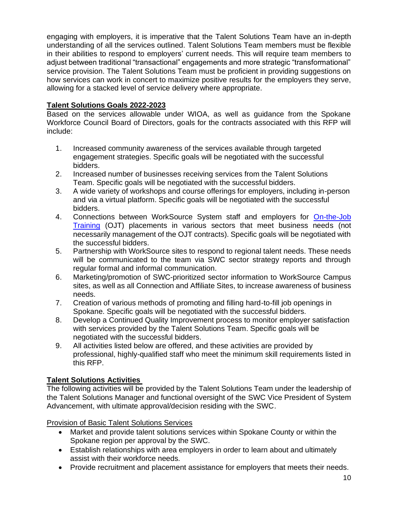engaging with employers, it is imperative that the Talent Solutions Team have an in-depth understanding of all the services outlined. Talent Solutions Team members must be flexible in their abilities to respond to employers' current needs. This will require team members to adjust between traditional "transactional" engagements and more strategic "transformational" service provision. The Talent Solutions Team must be proficient in providing suggestions on how services can work in concert to maximize positive results for the employers they serve, allowing for a stacked level of service delivery where appropriate.

## **Talent Solutions Goals 2022-2023**

Based on the services allowable under WIOA, as well as guidance from the Spokane Workforce Council Board of Directors, goals for the contracts associated with this RFP will include:

- 1. Increased community awareness of the services available through targeted engagement strategies. Specific goals will be negotiated with the successful bidders.
- 2. Increased number of businesses receiving services from the Talent Solutions Team. Specific goals will be negotiated with the successful bidders.
- 3. A wide variety of workshops and course offerings for employers, including in-person and via a virtual platform. Specific goals will be negotiated with the successful bidders.
- 4. Connections between WorkSource System staff and employers for [On-the-Job](https://spokaneworkforce.org/wp-content/uploads/2019/04/W410R1-OJT-090117.pdf)  [Training](https://spokaneworkforce.org/wp-content/uploads/2019/04/W410R1-OJT-090117.pdf) (OJT) placements in various sectors that meet business needs (not necessarily management of the OJT contracts). Specific goals will be negotiated with the successful bidders.
- 5. Partnership with WorkSource sites to respond to regional talent needs. These needs will be communicated to the team via SWC sector strategy reports and through regular formal and informal communication.
- 6. Marketing/promotion of SWC-prioritized sector information to WorkSource Campus sites, as well as all Connection and Affiliate Sites, to increase awareness of business needs.
- 7. Creation of various methods of promoting and filling hard-to-fill job openings in Spokane. Specific goals will be negotiated with the successful bidders.
- 8. Develop a Continued Quality Improvement process to monitor employer satisfaction with services provided by the Talent Solutions Team. Specific goals will be negotiated with the successful bidders.
- 9. All activities listed below are offered, and these activities are provided by professional, highly-qualified staff who meet the minimum skill requirements listed in this RFP.

## **Talent Solutions Activities**

The following activities will be provided by the Talent Solutions Team under the leadership of the Talent Solutions Manager and functional oversight of the SWC Vice President of System Advancement, with ultimate approval/decision residing with the SWC.

Provision of Basic Talent Solutions Services

- Market and provide talent solutions services within Spokane County or within the Spokane region per approval by the SWC.
- Establish relationships with area employers in order to learn about and ultimately assist with their workforce needs.
- Provide recruitment and placement assistance for employers that meets their needs.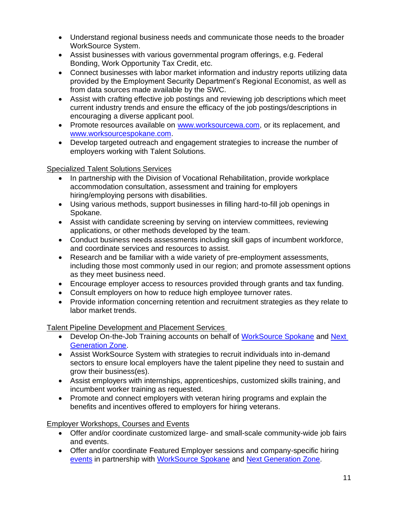- Understand regional business needs and communicate those needs to the broader WorkSource System.
- Assist businesses with various governmental program offerings, e.g. Federal Bonding, Work Opportunity Tax Credit, etc.
- Connect businesses with labor market information and industry reports utilizing data provided by the Employment Security Department's Regional Economist, as well as from data sources made available by the SWC.
- Assist with crafting effective job postings and reviewing job descriptions which meet current industry trends and ensure the efficacy of the job postings/descriptions in encouraging a diverse applicant pool.
- Promote resources available on [www.worksourcewa.com,](http://www.worksourcewa.com/) or its replacement, and [www.worksourcespokane.com.](http://www.worksourcespokane.com/)
- Develop targeted outreach and engagement strategies to increase the number of employers working with Talent Solutions.

## Specialized Talent Solutions Services

- In partnership with the Division of Vocational Rehabilitation, provide workplace accommodation consultation, assessment and training for employers hiring/employing persons with disabilities.
- Using various methods, support businesses in filling hard-to-fill job openings in Spokane.
- Assist with candidate screening by serving on interview committees, reviewing applications, or other methods developed by the team.
- Conduct business needs assessments including skill gaps of incumbent workforce, and coordinate services and resources to assist.
- Research and be familiar with a wide variety of pre-employment assessments, including those most commonly used in our region; and promote assessment options as they meet business need.
- Encourage employer access to resources provided through grants and tax funding.
- Consult employers on how to reduce high employee turnover rates.
- Provide information concerning retention and recruitment strategies as they relate to labor market trends.

## Talent Pipeline Development and Placement Services

- Develop On-the-Job Training accounts on behalf of [WorkSource Spokane](https://worksourcespokane.com/) and Next [Generation Zone.](https://nextgenzone.org/)
- Assist WorkSource System with strategies to recruit individuals into in-demand sectors to ensure local employers have the talent pipeline they need to sustain and grow their business(es).
- Assist employers with internships, apprenticeships, customized skills training, and incumbent worker training as requested.
- Promote and connect employers with veteran hiring programs and explain the benefits and incentives offered to employers for hiring veterans.

Employer Workshops, Courses and Events

- Offer and/or coordinate customized large- and small-scale community-wide job fairs and events.
- Offer and/or coordinate Featured Employer sessions and company-specific hiring [events](https://worksourcespokane.com/employers/employer-events) in partnership with [WorkSource Spokane](https://worksourcespokane.com/) and [Next Generation Zone.](https://nextgenzone.org/)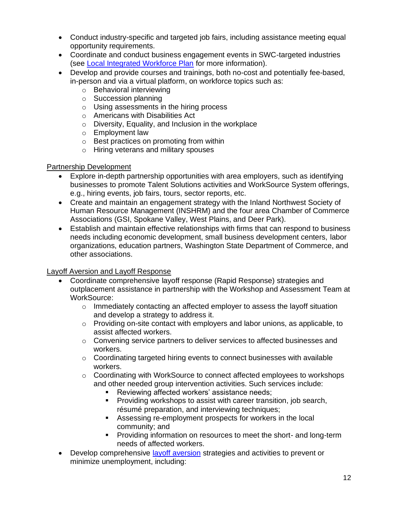- Conduct industry-specific and targeted job fairs, including assistance meeting equal opportunity requirements.
- Coordinate and conduct business engagement events in SWC-targeted industries (see [Local Integrated Workforce Plan](https://spokaneworkforce.org/workforce-resources/plans-mous/) for more information).
- Develop and provide courses and trainings, both no-cost and potentially fee-based, in-person and via a virtual platform, on workforce topics such as:
	- o Behavioral interviewing
	- o Succession planning
	- o Using assessments in the hiring process
	- o Americans with Disabilities Act
	- o Diversity, Equality, and Inclusion in the workplace
	- o Employment law
	- o Best practices on promoting from within
	- o Hiring veterans and military spouses

#### Partnership Development

- Explore in-depth partnership opportunities with area employers, such as identifying businesses to promote Talent Solutions activities and WorkSource System offerings, e.g., hiring events, job fairs, tours, sector reports, etc.
- Create and maintain an engagement strategy with the Inland Northwest Society of Human Resource Management (INSHRM) and the four area Chamber of Commerce Associations (GSI, Spokane Valley, West Plains, and Deer Park).
- Establish and maintain effective relationships with firms that can respond to business needs including economic development, small business development centers, labor organizations, education partners, Washington State Department of Commerce, and other associations.

#### Layoff Aversion and Layoff Response

- Coordinate comprehensive layoff response (Rapid Response) strategies and outplacement assistance in partnership with the Workshop and Assessment Team at WorkSource:
	- $\circ$  Immediately contacting an affected employer to assess the layoff situation and develop a strategy to address it.
	- $\circ$  Providing on-site contact with employers and labor unions, as applicable, to assist affected workers.
	- $\circ$  Convening service partners to deliver services to affected businesses and workers.
	- $\circ$  Coordinating targeted hiring events to connect businesses with available workers.
	- o Coordinating with WorkSource to connect affected employees to workshops and other needed group intervention activities. Such services include:
		- Reviewing affected workers' assistance needs;
		- Providing workshops to assist with career transition, job search, résumé preparation, and interviewing techniques;
		- Assessing re-employment prospects for workers in the local community; and
		- **•** Providing information on resources to meet the short- and long-term needs of affected workers.
- Develop comprehensive [layoff aversion](https://businessengagement.workforcegps.org/blog/Rapid-Response/2017/07/19/14/25/Rapid-Response-Regulations-Series-6-Layoff-Aversion) strategies and activities to prevent or minimize unemployment, including: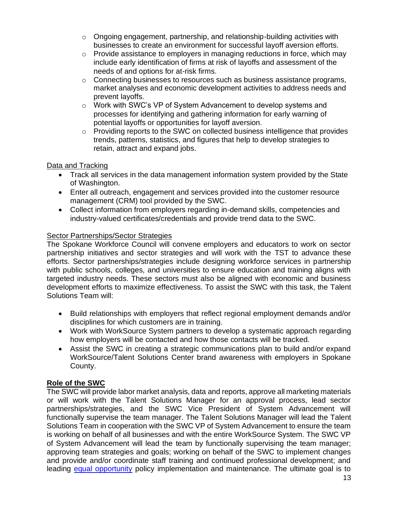- $\circ$  Ongoing engagement, partnership, and relationship-building activities with businesses to create an environment for successful layoff aversion efforts.
- $\circ$  Provide assistance to employers in managing reductions in force, which may include early identification of firms at risk of layoffs and assessment of the needs of and options for at-risk firms.
- o Connecting businesses to resources such as business assistance programs, market analyses and economic development activities to address needs and prevent layoffs.
- o Work with SWC's VP of System Advancement to develop systems and processes for identifying and gathering information for early warning of potential layoffs or opportunities for layoff aversion.
- $\circ$  Providing reports to the SWC on collected business intelligence that provides trends, patterns, statistics, and figures that help to develop strategies to retain, attract and expand jobs.

#### Data and Tracking

- Track all services in the data management information system provided by the State of Washington.
- Enter all outreach, engagement and services provided into the customer resource management (CRM) tool provided by the SWC.
- Collect information from employers regarding in-demand skills, competencies and industry-valued certificates/credentials and provide trend data to the SWC.

#### Sector Partnerships/Sector Strategies

The Spokane Workforce Council will convene employers and educators to work on sector partnership initiatives and sector strategies and will work with the TST to advance these efforts. Sector partnerships/strategies include designing workforce services in partnership with public schools, colleges, and universities to ensure education and training aligns with targeted industry needs. These sectors must also be aligned with economic and business development efforts to maximize effectiveness. To assist the SWC with this task, the Talent Solutions Team will:

- Build relationships with employers that reflect regional employment demands and/or disciplines for which customers are in training.
- Work with WorkSource System partners to develop a systematic approach regarding how employers will be contacted and how those contacts will be tracked.
- Assist the SWC in creating a strategic communications plan to build and/or expand WorkSource/Talent Solutions Center brand awareness with employers in Spokane County.

#### **Role of the SWC**

The SWC will provide labor market analysis, data and reports, approve all marketing materials or will work with the Talent Solutions Manager for an approval process, lead sector partnerships/strategies, and the SWC Vice President of System Advancement will functionally supervise the team manager. The Talent Solutions Manager will lead the Talent Solutions Team in cooperation with the SWC VP of System Advancement to ensure the team is working on behalf of all businesses and with the entire WorkSource System. The SWC VP of System Advancement will lead the team by functionally supervising the team manager; approving team strategies and goals; working on behalf of the SWC to implement changes and provide and/or coordinate staff training and continued professional development; and leading [equal opportunity](https://spokaneworkforce.org/wp-content/uploads/2019/08/SWC-Policy-WS810-Equal-Opportunity-080219.pdf) policy implementation and maintenance. The ultimate goal is to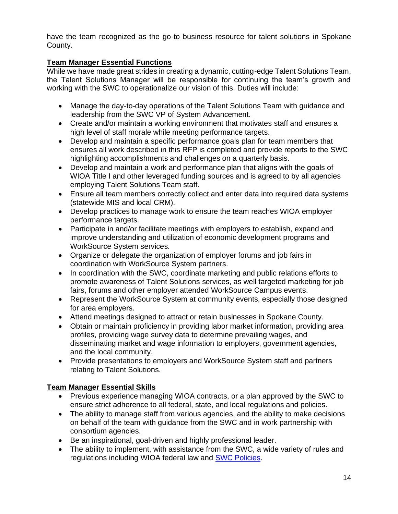have the team recognized as the go-to business resource for talent solutions in Spokane County.

## **Team Manager Essential Functions**

While we have made great strides in creating a dynamic, cutting-edge Talent Solutions Team, the Talent Solutions Manager will be responsible for continuing the team's growth and working with the SWC to operationalize our vision of this. Duties will include:

- Manage the day-to-day operations of the Talent Solutions Team with guidance and leadership from the SWC VP of System Advancement.
- Create and/or maintain a working environment that motivates staff and ensures a high level of staff morale while meeting performance targets.
- Develop and maintain a specific performance goals plan for team members that ensures all work described in this RFP is completed and provide reports to the SWC highlighting accomplishments and challenges on a quarterly basis.
- Develop and maintain a work and performance plan that aligns with the goals of WIOA Title I and other leveraged funding sources and is agreed to by all agencies employing Talent Solutions Team staff.
- Ensure all team members correctly collect and enter data into required data systems (statewide MIS and local CRM).
- Develop practices to manage work to ensure the team reaches WIOA employer performance targets.
- Participate in and/or facilitate meetings with employers to establish, expand and improve understanding and utilization of economic development programs and WorkSource System services.
- Organize or delegate the organization of employer forums and job fairs in coordination with WorkSource System partners.
- In coordination with the SWC, coordinate marketing and public relations efforts to promote awareness of Talent Solutions services, as well targeted marketing for job fairs, forums and other employer attended WorkSource Campus events.
- Represent the WorkSource System at community events, especially those designed for area employers.
- Attend meetings designed to attract or retain businesses in Spokane County.
- Obtain or maintain proficiency in providing labor market information, providing area profiles, providing wage survey data to determine prevailing wages, and disseminating market and wage information to employers, government agencies, and the local community.
- Provide presentations to employers and WorkSource System staff and partners relating to Talent Solutions.

## **Team Manager Essential Skills**

- Previous experience managing WIOA contracts, or a plan approved by the SWC to ensure strict adherence to all federal, state, and local regulations and policies.
- The ability to manage staff from various agencies, and the ability to make decisions on behalf of the team with guidance from the SWC and in work partnership with consortium agencies.
- Be an inspirational, goal-driven and highly professional leader.
- The ability to implement, with assistance from the SWC, a wide variety of rules and regulations including WIOA federal law and [SWC Policies.](https://spokaneworkforce.org/workforce-resources/policies/)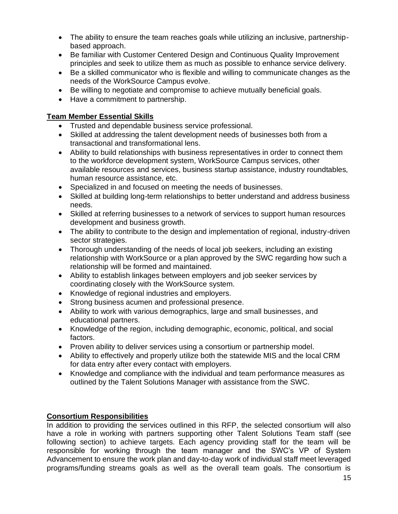- The ability to ensure the team reaches goals while utilizing an inclusive, partnershipbased approach.
- Be familiar with Customer Centered Design and Continuous Quality Improvement principles and seek to utilize them as much as possible to enhance service delivery.
- Be a skilled communicator who is flexible and willing to communicate changes as the needs of the WorkSource Campus evolve.
- Be willing to negotiate and compromise to achieve mutually beneficial goals.
- Have a commitment to partnership.

## **Team Member Essential Skills**

- Trusted and dependable business service professional.
- Skilled at addressing the talent development needs of businesses both from a transactional and transformational lens.
- Ability to build relationships with business representatives in order to connect them to the workforce development system, WorkSource Campus services, other available resources and services, business startup assistance, industry roundtables, human resource assistance, etc.
- Specialized in and focused on meeting the needs of businesses.
- Skilled at building long-term relationships to better understand and address business needs.
- Skilled at referring businesses to a network of services to support human resources development and business growth.
- The ability to contribute to the design and implementation of regional, industry-driven sector strategies.
- Thorough understanding of the needs of local job seekers, including an existing relationship with WorkSource or a plan approved by the SWC regarding how such a relationship will be formed and maintained.
- Ability to establish linkages between employers and job seeker services by coordinating closely with the WorkSource system.
- Knowledge of regional industries and employers.
- Strong business acumen and professional presence.
- Ability to work with various demographics, large and small businesses, and educational partners.
- Knowledge of the region, including demographic, economic, political, and social factors.
- Proven ability to deliver services using a consortium or partnership model.
- Ability to effectively and properly utilize both the statewide MIS and the local CRM for data entry after every contact with employers.
- Knowledge and compliance with the individual and team performance measures as outlined by the Talent Solutions Manager with assistance from the SWC.

## **Consortium Responsibilities**

In addition to providing the services outlined in this RFP, the selected consortium will also have a role in working with partners supporting other Talent Solutions Team staff (see following section) to achieve targets. Each agency providing staff for the team will be responsible for working through the team manager and the SWC's VP of System Advancement to ensure the work plan and day-to-day work of individual staff meet leveraged programs/funding streams goals as well as the overall team goals. The consortium is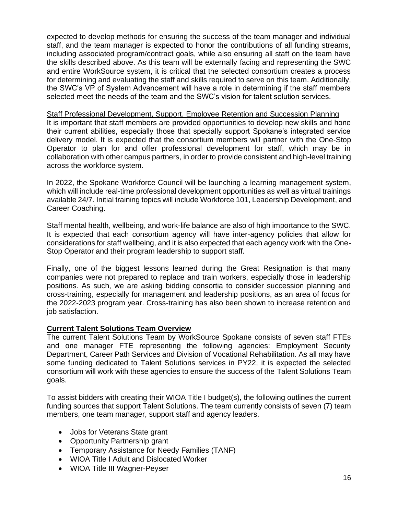expected to develop methods for ensuring the success of the team manager and individual staff, and the team manager is expected to honor the contributions of all funding streams, including associated program/contract goals, while also ensuring all staff on the team have the skills described above. As this team will be externally facing and representing the SWC and entire WorkSource system, it is critical that the selected consortium creates a process for determining and evaluating the staff and skills required to serve on this team. Additionally, the SWC's VP of System Advancement will have a role in determining if the staff members selected meet the needs of the team and the SWC's vision for talent solution services.

Staff Professional Development, Support, Employee Retention and Succession Planning It is important that staff members are provided opportunities to develop new skills and hone their current abilities, especially those that specially support Spokane's integrated service delivery model. It is expected that the consortium members will partner with the One-Stop Operator to plan for and offer professional development for staff, which may be in collaboration with other campus partners, in order to provide consistent and high-level training across the workforce system.

In 2022, the Spokane Workforce Council will be launching a learning management system, which will include real-time professional development opportunities as well as virtual trainings available 24/7. Initial training topics will include Workforce 101, Leadership Development, and Career Coaching.

Staff mental health, wellbeing, and work-life balance are also of high importance to the SWC. It is expected that each consortium agency will have inter-agency policies that allow for considerations for staff wellbeing, and it is also expected that each agency work with the One-Stop Operator and their program leadership to support staff.

Finally, one of the biggest lessons learned during the Great Resignation is that many companies were not prepared to replace and train workers, especially those in leadership positions. As such, we are asking bidding consortia to consider succession planning and cross-training, especially for management and leadership positions, as an area of focus for the 2022-2023 program year. Cross-training has also been shown to increase retention and job satisfaction.

#### **Current Talent Solutions Team Overview**

The current Talent Solutions Team by WorkSource Spokane consists of seven staff FTEs and one manager FTE representing the following agencies: Employment Security Department, Career Path Services and Division of Vocational Rehabilitation. As all may have some funding dedicated to Talent Solutions services in PY22, it is expected the selected consortium will work with these agencies to ensure the success of the Talent Solutions Team goals.

To assist bidders with creating their WIOA Title I budget(s), the following outlines the current funding sources that support Talent Solutions. The team currently consists of seven (7) team members, one team manager, support staff and agency leaders.

- Jobs for Veterans State grant
- Opportunity Partnership grant
- Temporary Assistance for Needy Families (TANF)
- WIOA Title I Adult and Dislocated Worker
- WIOA Title III Wagner-Peyser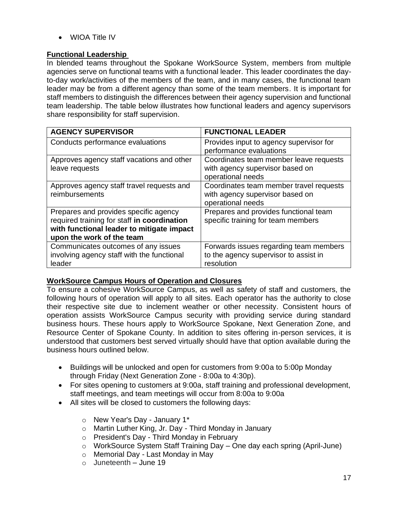• WIOA Title IV

#### **Functional Leadership**

In blended teams throughout the Spokane WorkSource System, members from multiple agencies serve on functional teams with a functional leader. This leader coordinates the dayto-day work/activities of the members of the team, and in many cases, the functional team leader may be from a different agency than some of the team members. It is important for staff members to distinguish the differences between their agency supervision and functional team leadership. The table below illustrates how functional leaders and agency supervisors share responsibility for staff supervision.

| <b>AGENCY SUPERVISOR</b>                    | <b>FUNCTIONAL LEADER</b>                |
|---------------------------------------------|-----------------------------------------|
| Conducts performance evaluations            | Provides input to agency supervisor for |
|                                             | performance evaluations                 |
| Approves agency staff vacations and other   | Coordinates team member leave requests  |
| leave requests                              | with agency supervisor based on         |
|                                             | operational needs                       |
| Approves agency staff travel requests and   | Coordinates team member travel requests |
| reimbursements                              | with agency supervisor based on         |
|                                             | operational needs                       |
| Prepares and provides specific agency       | Prepares and provides functional team   |
| required training for staff in coordination | specific training for team members      |
| with functional leader to mitigate impact   |                                         |
| upon the work of the team                   |                                         |
| Communicates outcomes of any issues         | Forwards issues regarding team members  |
| involving agency staff with the functional  | to the agency supervisor to assist in   |
| leader                                      | resolution                              |

#### **WorkSource Campus Hours of Operation and Closures**

To ensure a cohesive WorkSource Campus, as well as safety of staff and customers, the following hours of operation will apply to all sites. Each operator has the authority to close their respective site due to inclement weather or other necessity. Consistent hours of operation assists WorkSource Campus security with providing service during standard business hours. These hours apply to WorkSource Spokane, Next Generation Zone, and Resource Center of Spokane County. In addition to sites offering in-person services, it is understood that customers best served virtually should have that option available during the business hours outlined below.

- Buildings will be unlocked and open for customers from 9:00a to 5:00p Monday through Friday (Next Generation Zone - 8:00a to 4:30p).
- For sites opening to customers at 9:00a, staff training and professional development, staff meetings, and team meetings will occur from 8:00a to 9:00a
- All sites will be closed to customers the following days:
	- o New Year's Day January 1\*
	- o Martin Luther King, Jr. Day Third Monday in January
	- o President's Day Third Monday in February
	- o WorkSource System Staff Training Day One day each spring (April-June)
	- o Memorial Day Last Monday in May
	- $\circ$  Juneteenth June 19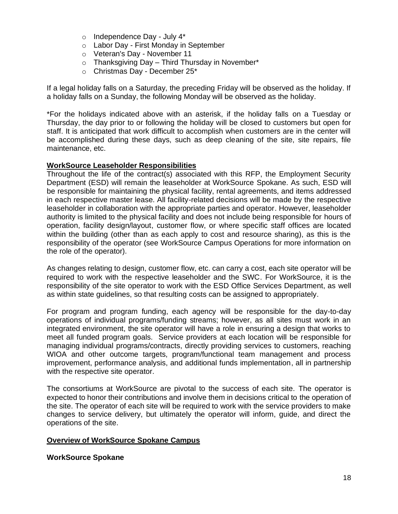- o Independence Day July 4\*
- o Labor Day First Monday in September
- o Veteran's Day November 11
- $\circ$  Thanksgiving Day Third Thursday in November\*
- o Christmas Day December 25\*

If a legal holiday falls on a Saturday, the preceding Friday will be observed as the holiday. If a holiday falls on a Sunday, the following Monday will be observed as the holiday.

\*For the holidays indicated above with an asterisk, if the holiday falls on a Tuesday or Thursday, the day prior to or following the holiday will be closed to customers but open for staff. It is anticipated that work difficult to accomplish when customers are in the center will be accomplished during these days, such as deep cleaning of the site, site repairs, file maintenance, etc.

#### **WorkSource Leaseholder Responsibilities**

Throughout the life of the contract(s) associated with this RFP, the Employment Security Department (ESD) will remain the leaseholder at WorkSource Spokane. As such, ESD will be responsible for maintaining the physical facility, rental agreements, and items addressed in each respective master lease. All facility-related decisions will be made by the respective leaseholder in collaboration with the appropriate parties and operator. However, leaseholder authority is limited to the physical facility and does not include being responsible for hours of operation, facility design/layout, customer flow, or where specific staff offices are located within the building (other than as each apply to cost and resource sharing), as this is the responsibility of the operator (see WorkSource Campus Operations for more information on the role of the operator).

As changes relating to design, customer flow, etc. can carry a cost, each site operator will be required to work with the respective leaseholder and the SWC. For WorkSource, it is the responsibility of the site operator to work with the ESD Office Services Department, as well as within state guidelines, so that resulting costs can be assigned to appropriately.

For program and program funding, each agency will be responsible for the day-to-day operations of individual programs/funding streams; however, as all sites must work in an integrated environment, the site operator will have a role in ensuring a design that works to meet all funded program goals. Service providers at each location will be responsible for managing individual programs/contracts, directly providing services to customers, reaching WIOA and other outcome targets, program/functional team management and process improvement, performance analysis, and additional funds implementation, all in partnership with the respective site operator.

The consortiums at WorkSource are pivotal to the success of each site. The operator is expected to honor their contributions and involve them in decisions critical to the operation of the site. The operator of each site will be required to work with the service providers to make changes to service delivery, but ultimately the operator will inform, guide, and direct the operations of the site.

#### **Overview of WorkSource Spokane Campus**

**WorkSource Spokane**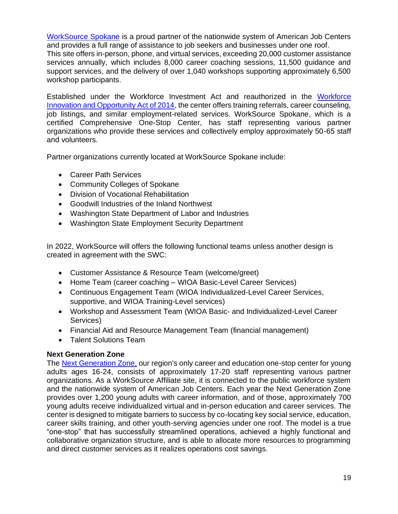[WorkSource Spokane](https://worksourcespokane.com/) is a proud partner of the nationwide system of American Job Centers and provides a full range of assistance to job seekers and businesses under one roof.

This site offers in-person, phone, and virtual services, exceeding 20,000 customer assistance services annually, which includes 8,000 career coaching sessions, 11,500 guidance and support services, and the delivery of over 1,040 workshops supporting approximately 6,500 workshop participants.

Established under the Workforce Investment Act and reauthorized in the [Workforce](https://www.doleta.gov/wioa/)  [Innovation and Opportunity Act of 2014,](https://www.doleta.gov/wioa/) the center offers training referrals, career counseling, job listings, and similar employment-related services. WorkSource Spokane, which is a certified Comprehensive One-Stop Center, has staff representing various partner organizations who provide these services and collectively employ approximately 50-65 staff and volunteers.

Partner organizations currently located at WorkSource Spokane include:

- Career Path Services
- Community Colleges of Spokane
- Division of Vocational Rehabilitation
- Goodwill Industries of the Inland Northwest
- Washington State Department of Labor and Industries
- Washington State Employment Security Department

In 2022, WorkSource will offers the following functional teams unless another design is created in agreement with the SWC:

- Customer Assistance & Resource Team (welcome/greet)
- Home Team (career coaching WIOA Basic-Level Career Services)
- Continuous Engagement Team (WIOA Individualized-Level Career Services, supportive, and WIOA Training-Level services)
- Workshop and Assessment Team (WIOA Basic- and Individualized-Level Career Services)
- Financial Aid and Resource Management Team (financial management)
- Talent Solutions Team

#### **Next Generation Zone**

The [Next Generation Zone,](https://nextgenzone.org/) our region's only career and education one-stop center for young adults ages 16-24, consists of approximately 17-20 staff representing various partner organizations. As a WorkSource Affiliate site, it is connected to the public workforce system and the nationwide system of American Job Centers. Each year the Next Generation Zone provides over 1,200 young adults with career information, and of those, approximately 700 young adults receive individualized virtual and in-person education and career services. The center is designed to mitigate barriers to success by co-locating key social service, education, career skills training, and other youth-serving agencies under one roof. The model is a true "one-stop" that has successfully streamlined operations, achieved a highly functional and collaborative organization structure, and is able to allocate more resources to programming and direct customer services as it realizes operations cost savings.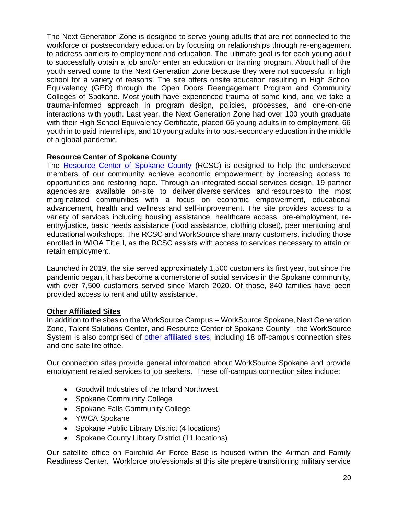The Next Generation Zone is designed to serve young adults that are not connected to the workforce or postsecondary education by focusing on relationships through re-engagement to address barriers to employment and education. The ultimate goal is for each young adult to successfully obtain a job and/or enter an education or training program. About half of the youth served come to the Next Generation Zone because they were not successful in high school for a variety of reasons. The site offers onsite education resulting in High School Equivalency (GED) through the Open Doors Reengagement Program and Community Colleges of Spokane. Most youth have experienced trauma of some kind, and we take a trauma-informed approach in program design, policies, processes, and one-on-one interactions with youth. Last year, the Next Generation Zone had over 100 youth graduate with their High School Equivalency Certificate, placed 66 young adults in to employment, 66 youth in to paid internships, and 10 young adults in to post-secondary education in the middle of a global pandemic.

#### **Resource Center of Spokane County**

The [Resource Center of Spokane County](https://spokaneresourcecenter.org/) (RCSC) is designed to help the underserved members of our community achieve economic empowerment by increasing access to opportunities and restoring hope. Through an integrated social services design, [19](https://spokaneresourcecenter.org/agency-partners) partner agencies are available on-site to deliver diverse services and resources to the most marginalized communities with a focus on economic empowerment, educational advancement, health and wellness and self-improvement. The site provides access to a variety of services including housing assistance, healthcare access, pre-employment, reentry/justice, basic needs assistance (food assistance, clothing closet), peer mentoring and educational workshops. The RCSC and WorkSource share many customers, including those enrolled in WIOA Title I, as the RCSC assists with access to services necessary to attain or retain employment.

Launched in 2019, the site served approximately 1,500 customers its first year, but since the pandemic began, it has become a cornerstone of social services in the Spokane community, with over 7,500 customers served since March 2020. Of those, 840 families have been provided access to rent and utility assistance.

#### **Other Affiliated Sites**

In addition to the sites on the WorkSource Campus – WorkSource Spokane, Next Generation Zone, Talent Solutions Center, and Resource Center of Spokane County - the WorkSource System is also comprised of [other affiliated sites,](https://worksourcespokane.com/partners) including 18 off-campus connection sites and one satellite office.

Our connection sites provide general information about WorkSource Spokane and provide employment related services to job seekers. These off-campus connection sites include:

- Goodwill Industries of the Inland Northwest
- Spokane Community College
- Spokane Falls Community College
- YWCA Spokane
- Spokane Public Library District (4 locations)
- Spokane County Library District (11 locations)

Our satellite office on Fairchild Air Force Base is housed within the Airman and Family Readiness Center. Workforce professionals at this site prepare transitioning military service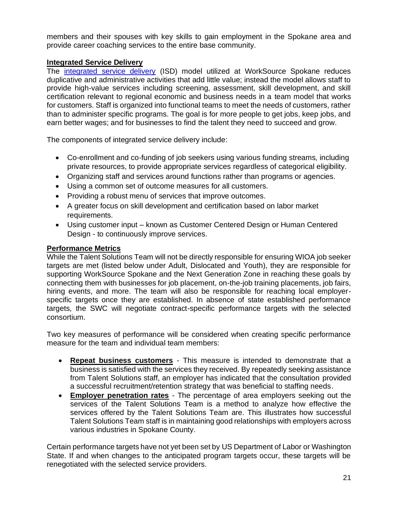members and their spouses with key skills to gain employment in the Spokane area and provide career coaching services to the entire base community.

## **Integrated Service Delivery**

The [integrated service delivery](https://spokaneworkforce.org/human-centered-design/) (ISD) model utilized at WorkSource Spokane reduces duplicative and administrative activities that add little value; instead the model allows staff to provide high-value services including screening, assessment, skill development, and skill certification relevant to regional economic and business needs in a team model that works for customers. Staff is organized into functional teams to meet the needs of customers, rather than to administer specific programs. The goal is for more people to get jobs, keep jobs, and earn better wages; and for businesses to find the talent they need to succeed and grow.

The components of integrated service delivery include:

- Co-enrollment and co-funding of job seekers using various funding streams, including private resources, to provide appropriate services regardless of categorical eligibility.
- Organizing staff and services around functions rather than programs or agencies.
- Using a common set of outcome measures for all customers.
- Providing a robust menu of services that improve outcomes.
- A greater focus on skill development and certification based on labor market requirements.
- Using customer input known as Customer Centered Design or Human Centered Design - to continuously improve services.

#### **Performance Metrics**

While the Talent Solutions Team will not be directly responsible for ensuring WIOA job seeker targets are met (listed below under Adult, Dislocated and Youth), they are responsible for supporting WorkSource Spokane and the Next Generation Zone in reaching these goals by connecting them with businesses for job placement, on-the-job training placements, job fairs, hiring events, and more. The team will also be responsible for reaching local employerspecific targets once they are established. In absence of state established performance targets, the SWC will negotiate contract-specific performance targets with the selected consortium.

Two key measures of performance will be considered when creating specific performance measure for the team and individual team members:

- **Repeat business customers** This measure is intended to demonstrate that a business is satisfied with the services they received. By repeatedly seeking assistance from Talent Solutions staff, an employer has indicated that the consultation provided a successful recruitment/retention strategy that was beneficial to staffing needs.
- **Employer penetration rates** The percentage of area employers seeking out the services of the Talent Solutions Team is a method to analyze how effective the services offered by the Talent Solutions Team are. This illustrates how successful Talent Solutions Team staff is in maintaining good relationships with employers across various industries in Spokane County.

Certain performance targets have not yet been set by US Department of Labor or Washington State. If and when changes to the anticipated program targets occur, these targets will be renegotiated with the selected service providers.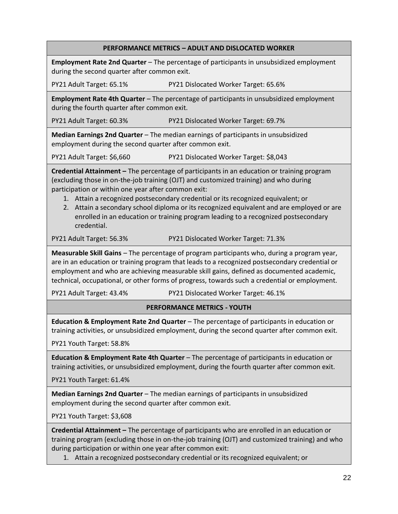#### **PERFORMANCE METRICS – ADULT AND DISLOCATED WORKER**

**Employment Rate 2nd Quarter** – The percentage of participants in unsubsidized employment during the second quarter after common exit.

PY21 Adult Target: 65.1% PY21 Dislocated Worker Target: 65.6%

**Employment Rate 4th Quarter** – The percentage of participants in unsubsidized employment during the fourth quarter after common exit.

PY21 Adult Target: 60.3% PY21 Dislocated Worker Target: 69.7%

**Median Earnings 2nd Quarter** – The median earnings of participants in unsubsidized employment during the second quarter after common exit.

PY21 Adult Target: \$6,660 PY21 Dislocated Worker Target: \$8,043

**Credential Attainment –** The percentage of participants in an education or training program (excluding those in on-the-job training (OJT) and customized training) and who during participation or within one year after common exit:

1. Attain a recognized postsecondary credential or its recognized equivalent; or

2. Attain a secondary school diploma or its recognized equivalent and are employed or are enrolled in an education or training program leading to a recognized postsecondary credential.

PY21 Adult Target: 56.3% PY21 Dislocated Worker Target: 71.3%

**Measurable Skill Gains** – The percentage of program participants who, during a program year, are in an education or training program that leads to a recognized postsecondary credential or employment and who are achieving measurable skill gains, defined as documented academic, technical, occupational, or other forms of progress, towards such a credential or employment.

PY21 Adult Target: 43.4% PY21 Dislocated Worker Target: 46.1%

#### **PERFORMANCE METRICS - YOUTH**

**Education & Employment Rate 2nd Quarter** – The percentage of participants in education or training activities, or unsubsidized employment, during the second quarter after common exit.

PY21 Youth Target: 58.8%

**Education & Employment Rate 4th Quarter** – The percentage of participants in education or training activities, or unsubsidized employment, during the fourth quarter after common exit.

PY21 Youth Target: 61.4%

**Median Earnings 2nd Quarter** – The median earnings of participants in unsubsidized employment during the second quarter after common exit.

PY21 Youth Target: \$3,608

**Credential Attainment –** The percentage of participants who are enrolled in an education or training program (excluding those in on-the-job training (OJT) and customized training) and who during participation or within one year after common exit:

1. Attain a recognized postsecondary credential or its recognized equivalent; or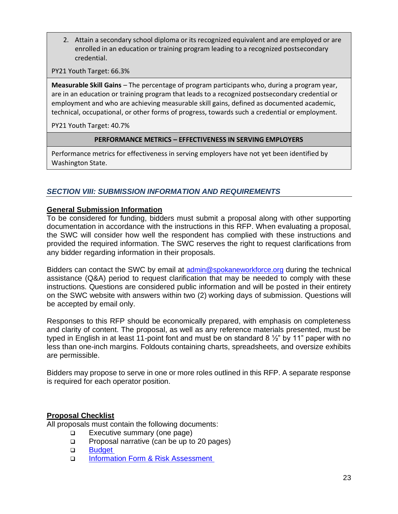2. Attain a secondary school diploma or its recognized equivalent and are employed or are enrolled in an education or training program leading to a recognized postsecondary credential.

PY21 Youth Target: 66.3%

**Measurable Skill Gains** – The percentage of program participants who, during a program year, are in an education or training program that leads to a recognized postsecondary credential or employment and who are achieving measurable skill gains, defined as documented academic, technical, occupational, or other forms of progress, towards such a credential or employment.

PY21 Youth Target: 40.7%

#### **PERFORMANCE METRICS – EFFECTIVENESS IN SERVING EMPLOYERS**

Performance metrics for effectiveness in serving employers have not yet been identified by Washington State.

## *SECTION VIII: SUBMISSION INFORMATION AND REQUIREMENTS*

#### **General Submission Information**

To be considered for funding, bidders must submit a proposal along with other supporting documentation in accordance with the instructions in this RFP. When evaluating a proposal, the SWC will consider how well the respondent has complied with these instructions and provided the required information. The SWC reserves the right to request clarifications from any bidder regarding information in their proposals.

Bidders can contact the SWC by email at [admin@spokaneworkforce.org](mailto:admin@spokaneworkforce.org) during the technical assistance (Q&A) period to request clarification that may be needed to comply with these instructions. Questions are considered public information and will be posted in their entirety on the SWC website with answers within two (2) working days of submission. Questions will be accepted by email only.

Responses to this RFP should be economically prepared, with emphasis on completeness and clarity of content. The proposal, as well as any reference materials presented, must be typed in English in at least 11-point font and must be on standard 8 ½" by 11" paper with no less than one-inch margins. Foldouts containing charts, spreadsheets, and oversize exhibits are permissible.

Bidders may propose to serve in one or more roles outlined in this RFP. A separate response is required for each operator position.

#### **Proposal Checklist**

All proposals must contain the following documents:

- ❑ Executive summary (one page)
- ❑ Proposal narrative (can be up to 20 pages)
- ❑ [Budget](https://spokaneworkforce.org/wp-content/uploads/2022/01/Sub-budget-template-NO-direct-client-services.xlsx)
- ❑ [Information Form & Risk Assessment](https://spokaneworkforce.org/wp-content/uploads/2022/01/Standard-Applicant-Pre-Award-Risk-Assessment.docx)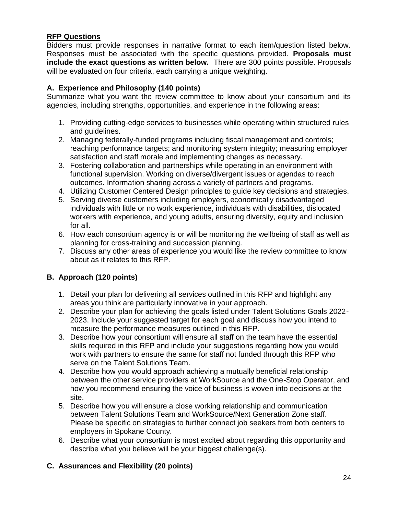## **RFP Questions**

Bidders must provide responses in narrative format to each item/question listed below. Responses must be associated with the specific questions provided. **Proposals must include the exact questions as written below.** There are 300 points possible. Proposals will be evaluated on four criteria, each carrying a unique weighting.

## **A. Experience and Philosophy (140 points)**

Summarize what you want the review committee to know about your consortium and its agencies, including strengths, opportunities, and experience in the following areas:

- 1. Providing cutting-edge services to businesses while operating within structured rules and guidelines.
- 2. Managing federally-funded programs including fiscal management and controls; reaching performance targets; and monitoring system integrity; measuring employer satisfaction and staff morale and implementing changes as necessary.
- 3. Fostering collaboration and partnerships while operating in an environment with functional supervision. Working on diverse/divergent issues or agendas to reach outcomes. Information sharing across a variety of partners and programs.
- 4. Utilizing Customer Centered Design principles to guide key decisions and strategies.
- 5. Serving diverse customers including employers, economically disadvantaged individuals with little or no work experience, individuals with disabilities, dislocated workers with experience, and young adults, ensuring diversity, equity and inclusion for all.
- 6. How each consortium agency is or will be monitoring the wellbeing of staff as well as planning for cross-training and succession planning.
- 7. Discuss any other areas of experience you would like the review committee to know about as it relates to this RFP.

## **B. Approach (120 points)**

- 1. Detail your plan for delivering all services outlined in this RFP and highlight any areas you think are particularly innovative in your approach.
- 2. Describe your plan for achieving the goals listed under Talent Solutions Goals 2022- 2023. Include your suggested target for each goal and discuss how you intend to measure the performance measures outlined in this RFP.
- 3. Describe how your consortium will ensure all staff on the team have the essential skills required in this RFP and include your suggestions regarding how you would work with partners to ensure the same for staff not funded through this RFP who serve on the Talent Solutions Team.
- 4. Describe how you would approach achieving a mutually beneficial relationship between the other service providers at WorkSource and the One-Stop Operator, and how you recommend ensuring the voice of business is woven into decisions at the site.
- 5. Describe how you will ensure a close working relationship and communication between Talent Solutions Team and WorkSource/Next Generation Zone staff. Please be specific on strategies to further connect job seekers from both centers to employers in Spokane County.
- 6. Describe what your consortium is most excited about regarding this opportunity and describe what you believe will be your biggest challenge(s).

## **C. Assurances and Flexibility (20 points)**